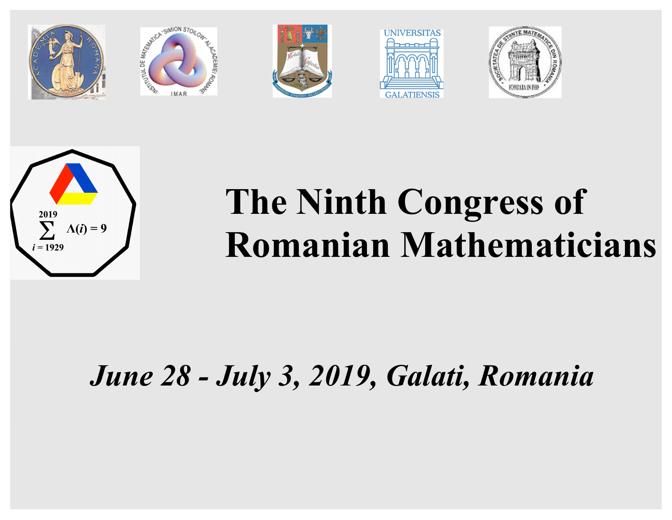











# **The Ninth Congress of Romanian Mathematicians**

# *June 28 - July 3, 2019, Galati, Romania*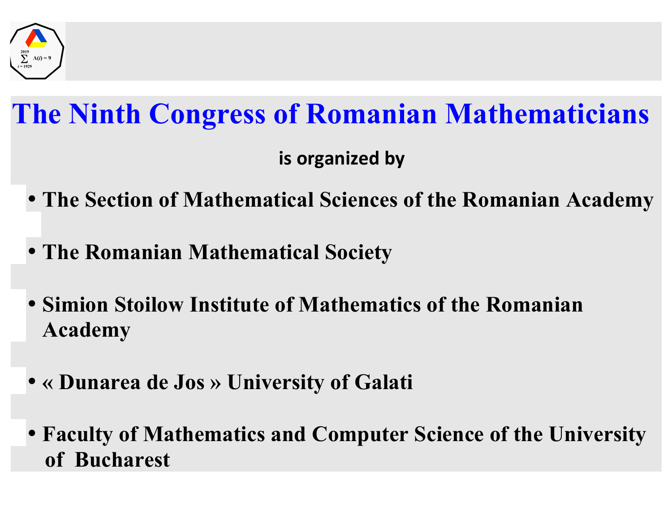

## **The Ninth Congress of Romanian Mathematicians**

**is organized by** 

- **The Section of Mathematical Sciences of the Romanian Academy**
- **The Romanian Mathematical Society**
- **Simion Stoilow Institute of Mathematics of the Romanian Academy**
- **« Dunarea de Jos » University of Galati**
- **Faculty of Mathematics and Computer Science of the University of Bucharest**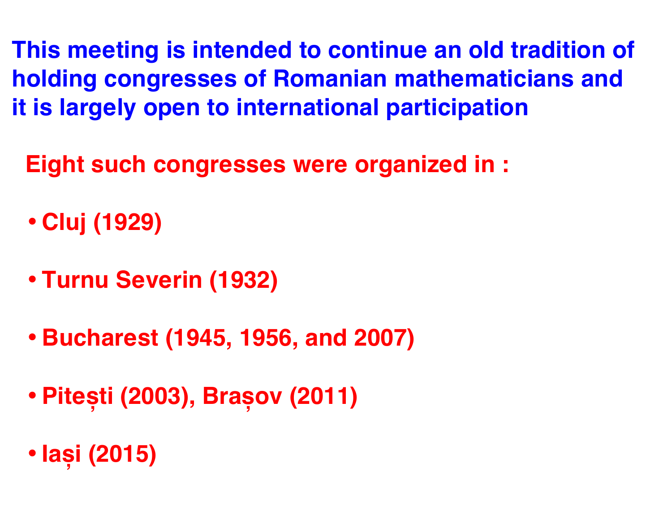**This meeting is intended to continue an old tradition of holding congresses of Romanian mathematicians and it is largely open to international participation**

 **Eight such congresses were organized in :**

- **Cluj (1929)**
- **Turnu Severin (1932)**
- **Bucharest (1945, 1956, and 2007)**
- **Pitești (2003), Brașov (2011)**
- **Iași (2015)**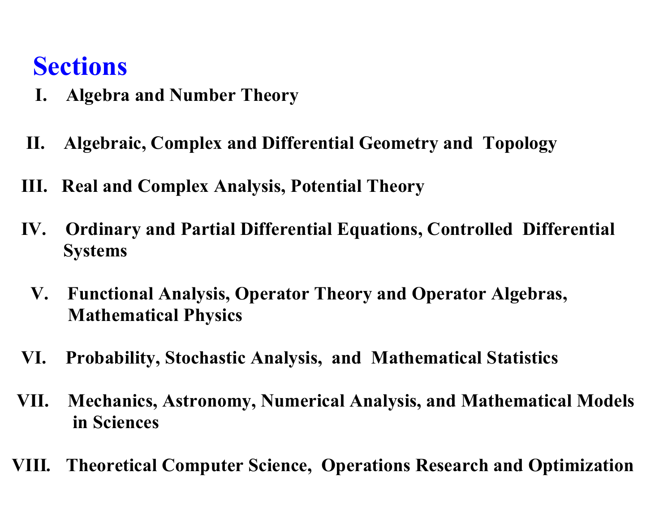#### **Sections**

- **I. Algebra and Number Theory**
- **II. Algebraic, Complex and Differential Geometry and Topology**
- **III. Real and Complex Analysis, Potential Theory**
- **IV. Ordinary and Partial Differential Equations, Controlled Differential Systems**
	- **V. Functional Analysis, Operator Theory and Operator Algebras, Mathematical Physics**
- **VI. Probability, Stochastic Analysis, and Mathematical Statistics**
- **VII. Mechanics, Astronomy, Numerical Analysis, and Mathematical Models in Sciences**
- **VIII***.* **Theoretical Computer Science, Operations Research and Optimization**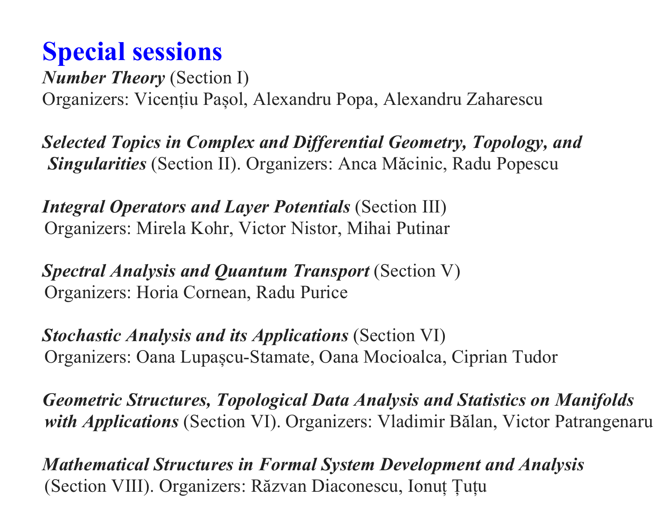#### **Special sessions**

§ *Number Theory* (Section I) § Organizers: Vicențiu Pașol, Alexandru Popa, Alexandru Zaharescu

§ *Selected Topics in Complex and Differential Geometry, Topology, and Singularities* (Section II). Organizers: Anca Măcinic, Radu Popescu

§ *Integral Operators and Layer Potentials* (Section III) Organizers: Mirela Kohr, Victor Nistor, Mihai Putinar

§ *Spectral Analysis and Quantum Transport* (Section V) Organizers: Horia Cornean, Radu Purice

§ *Stochastic Analysis and its Applications* (Section VI) Organizers: Oana Lupașcu-Stamate, Oana Mocioalca, Ciprian Tudor

§ *Geometric Structures, Topological Data Analysis and Statistics on Manifolds with Applications* (Section VI). Organizers: Vladimir Bălan, Victor Patrangenaru

§ *Mathematical Structures in Formal System Development and Analysis* (Section VIII). Organizers: Răzvan Diaconescu, Ionuț Țuțu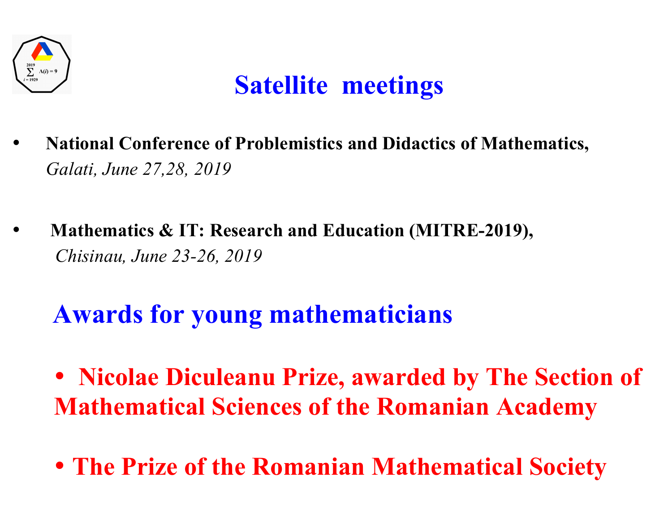

#### **Satellite meetings**

- • **National Conference of Problemistics and Didactics of Mathematics,**  *Galati, June 27,28, 2019*
- • **Mathematics & IT: Research and Education (MITRE-2019),** *Chisinau, June 23-26, 2019*

### **Awards for young mathematicians**

- **Nicolae Diculeanu Prize, awarded by The Section of Mathematical Sciences of the Romanian Academy**
- **The Prize of the Romanian Mathematical Society**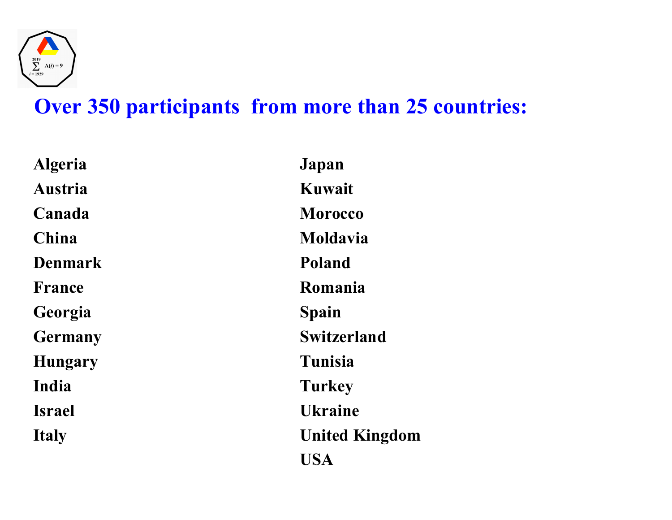

#### **Over 350 participants from more than 25 countries:**

| <b>Algeria</b> | Japan                 |
|----------------|-----------------------|
| <b>Austria</b> | Kuwait                |
| Canada         | <b>Morocco</b>        |
| China          | Moldavia              |
| <b>Denmark</b> | <b>Poland</b>         |
| <b>France</b>  | Romania               |
| Georgia        | Spain                 |
| <b>Germany</b> | <b>Switzerland</b>    |
| <b>Hungary</b> | Tunisia               |
| India          | <b>Turkey</b>         |
| <b>Israel</b>  | <b>Ukraine</b>        |
| <b>Italy</b>   | <b>United Kingdom</b> |
|                | USA                   |